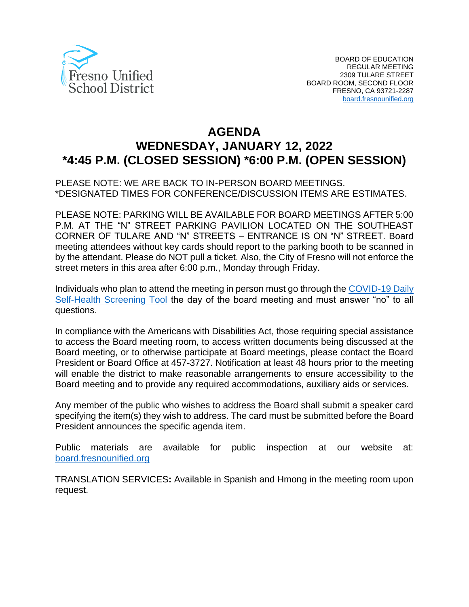

# **AGENDA WEDNESDAY, JANUARY 12, 2022 \*4:45 P.M. (CLOSED SESSION) \*6:00 P.M. (OPEN SESSION)**

#### PLEASE NOTE: WE ARE BACK TO IN-PERSON BOARD MEETINGS. \*DESIGNATED TIMES FOR CONFERENCE/DISCUSSION ITEMS ARE ESTIMATES.

PLEASE NOTE: PARKING WILL BE AVAILABLE FOR BOARD MEETINGS AFTER 5:00 P.M. AT THE "N" STREET PARKING PAVILION LOCATED ON THE SOUTHEAST CORNER OF TULARE AND "N" STREETS – ENTRANCE IS ON "N" STREET. Board meeting attendees without key cards should report to the parking booth to be scanned in by the attendant. Please do NOT pull a ticket. Also, the City of Fresno will not enforce the street meters in this area after 6:00 p.m., Monday through Friday.

Individuals who plan to attend the meeting in person must go through the [COVID-19 Daily](https://www.fresnounified.org/covid19/)  [Self-Health Screening Tool](https://www.fresnounified.org/covid19/) the day of the board meeting and must answer "no" to all questions.

In compliance with the Americans with Disabilities Act, those requiring special assistance to access the Board meeting room, to access written documents being discussed at the Board meeting, or to otherwise participate at Board meetings, please contact the Board President or Board Office at 457-3727. Notification at least 48 hours prior to the meeting will enable the district to make reasonable arrangements to ensure accessibility to the Board meeting and to provide any required accommodations, auxiliary aids or services.

Any member of the public who wishes to address the Board shall submit a speaker card specifying the item(s) they wish to address. The card must be submitted before the Board President announces the specific agenda item.

Public materials are available for public inspection at our website at: [board.fresnounified.org](https://board.fresnounified.org/)

TRANSLATION SERVICES**:** Available in Spanish and Hmong in the meeting room upon request.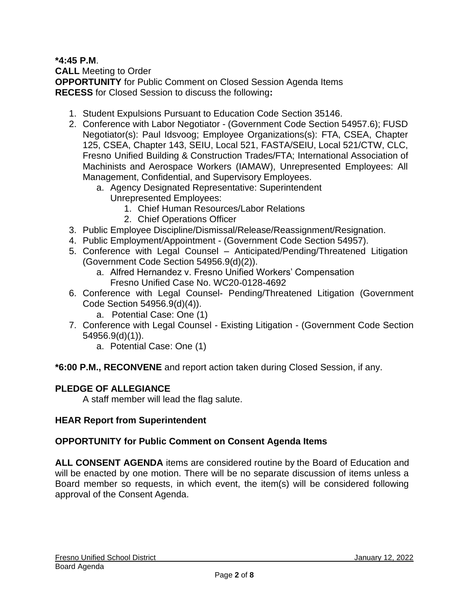### **\*4:45 P.M**.

**CALL** Meeting to Order **OPPORTUNITY** for Public Comment on Closed Session Agenda Items **RECESS** for Closed Session to discuss the following**:**

- 1. Student Expulsions Pursuant to Education Code Section 35146.
- 2. Conference with Labor Negotiator (Government Code Section 54957.6); FUSD Negotiator(s): Paul Idsvoog; Employee Organizations(s): FTA, CSEA, Chapter 125, CSEA, Chapter 143, SEIU, Local 521, FASTA/SEIU, Local 521/CTW, CLC, Fresno Unified Building & Construction Trades/FTA; International Association of Machinists and Aerospace Workers (IAMAW), Unrepresented Employees: All Management, Confidential, and Supervisory Employees.
	- a. Agency Designated Representative: Superintendent
		- Unrepresented Employees:
			- 1. Chief Human Resources/Labor Relations
			- 2. Chief Operations Officer
- 3. Public Employee Discipline/Dismissal/Release/Reassignment/Resignation.
- 4. Public Employment/Appointment (Government Code Section 54957).
- 5. Conference with Legal Counsel Anticipated/Pending/Threatened Litigation (Government Code Section 54956.9(d)(2)).
	- a. Alfred Hernandez v. Fresno Unified Workers' Compensation Fresno Unified Case No. WC20-0128-4692
- 6. Conference with Legal Counsel- Pending/Threatened Litigation (Government Code Section 54956.9(d)(4)).
	- a. Potential Case: One (1)
- 7. Conference with Legal Counsel Existing Litigation (Government Code Section 54956.9(d)(1)).
	- a. Potential Case: One (1)

**\*6:00 P.M., RECONVENE** and report action taken during Closed Session, if any.

### **PLEDGE OF ALLEGIANCE**

A staff member will lead the flag salute.

### **HEAR Report from Superintendent**

### **OPPORTUNITY for Public Comment on Consent Agenda Items**

**ALL CONSENT AGENDA** items are considered routine by the Board of Education and will be enacted by one motion. There will be no separate discussion of items unless a Board member so requests, in which event, the item(s) will be considered following approval of the Consent Agenda.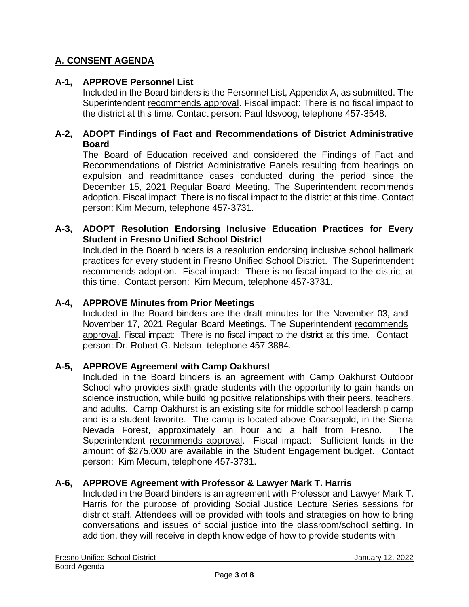### **A. CONSENT AGENDA**

### **A-1, APPROVE Personnel List**

Included in the Board binders is the Personnel List, Appendix A, as submitted. The Superintendent recommends approval. Fiscal impact: There is no fiscal impact to the district at this time. Contact person: Paul Idsvoog, telephone 457-3548.

#### **A-2, ADOPT Findings of Fact and Recommendations of District Administrative Board**

The Board of Education received and considered the Findings of Fact and Recommendations of District Administrative Panels resulting from hearings on expulsion and readmittance cases conducted during the period since the December 15, 2021 Regular Board Meeting. The Superintendent recommends adoption. Fiscal impact: There is no fiscal impact to the district at this time. Contact person: Kim Mecum, telephone 457-3731.

#### **A-3, ADOPT Resolution Endorsing Inclusive Education Practices for Every Student in Fresno Unified School District**

Included in the Board binders is a resolution endorsing inclusive school hallmark practices for every student in Fresno Unified School District. The Superintendent recommends adoption. Fiscal impact: There is no fiscal impact to the district at this time. Contact person: Kim Mecum, telephone 457-3731.

#### **A-4, APPROVE Minutes from Prior Meetings**

Included in the Board binders are the draft minutes for the November 03, and November 17, 2021 Regular Board Meetings. The Superintendent recommends approval. Fiscal impact: There is no fiscal impact to the district at this time. Contact person: Dr. Robert G. Nelson, telephone 457-3884.

#### **A-5, APPROVE Agreement with Camp Oakhurst**

Included in the Board binders is an agreement with Camp Oakhurst Outdoor School who provides sixth-grade students with the opportunity to gain hands-on science instruction, while building positive relationships with their peers, teachers, and adults. Camp Oakhurst is an existing site for middle school leadership camp and is a student favorite. The camp is located above Coarsegold, in the Sierra Nevada Forest, approximately an hour and a half from Fresno. The Superintendent recommends approval. Fiscal impact: Sufficient funds in the amount of \$275,000 are available in the Student Engagement budget. Contact person: Kim Mecum, telephone 457-3731.

#### **A-6, APPROVE Agreement with Professor & Lawyer Mark T. Harris**

Included in the Board binders is an agreement with Professor and Lawyer Mark T. Harris for the purpose of providing Social Justice Lecture Series sessions for district staff. Attendees will be provided with tools and strategies on how to bring conversations and issues of social justice into the classroom/school setting. In addition, they will receive in depth knowledge of how to provide students with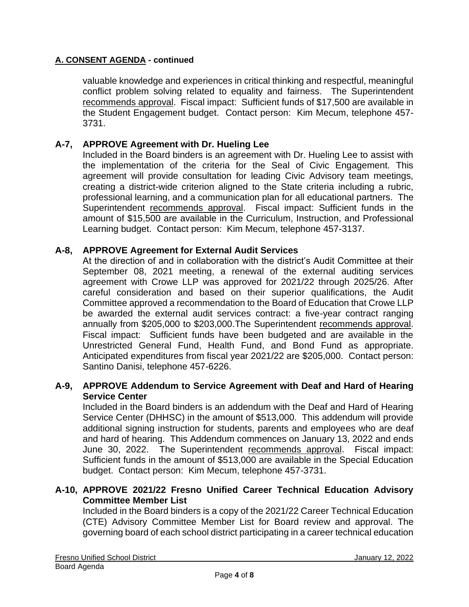#### **A. CONSENT AGENDA - continued**

valuable knowledge and experiences in critical thinking and respectful, meaningful conflict problem solving related to equality and fairness. The Superintendent recommends approval. Fiscal impact: Sufficient funds of \$17,500 are available in the Student Engagement budget. Contact person: Kim Mecum, telephone 457- 3731.

#### **A-7, APPROVE Agreement with Dr. Hueling Lee**

Included in the Board binders is an agreement with Dr. Hueling Lee to assist with the implementation of the criteria for the Seal of Civic Engagement. This agreement will provide consultation for leading Civic Advisory team meetings, creating a district-wide criterion aligned to the State criteria including a rubric, professional learning, and a communication plan for all educational partners. The Superintendent recommends approval. Fiscal impact: Sufficient funds in the amount of \$15,500 are available in the Curriculum, Instruction, and Professional Learning budget. Contact person: Kim Mecum, telephone 457-3137.

#### **A-8, APPROVE Agreement for External Audit Services**

At the direction of and in collaboration with the district's Audit Committee at their September 08, 2021 meeting, a renewal of the external auditing services agreement with Crowe LLP was approved for 2021/22 through 2025/26. After careful consideration and based on their superior qualifications, the Audit Committee approved a recommendation to the Board of Education that Crowe LLP be awarded the external audit services contract: a five-year contract ranging annually from \$205,000 to \$203,000.The Superintendent recommends approval. Fiscal impact: Sufficient funds have been budgeted and are available in the Unrestricted General Fund, Health Fund, and Bond Fund as appropriate. Anticipated expenditures from fiscal year 2021/22 are \$205,000. Contact person: Santino Danisi, telephone 457-6226.

#### **A-9, APPROVE Addendum to Service Agreement with Deaf and Hard of Hearing Service Center**

Included in the Board binders is an addendum with the Deaf and Hard of Hearing Service Center (DHHSC) in the amount of \$513,000. This addendum will provide additional signing instruction for students, parents and employees who are deaf and hard of hearing. This Addendum commences on January 13, 2022 and ends June 30, 2022. The Superintendent recommends approval. Fiscal impact: Sufficient funds in the amount of \$513,000 are available in the Special Education budget. Contact person: Kim Mecum, telephone 457-3731.

#### **A-10, APPROVE 2021/22 Fresno Unified Career Technical Education Advisory Committee Member List**

Included in the Board binders is a copy of the 2021/22 Career Technical Education (CTE) Advisory Committee Member List for Board review and approval. The governing board of each school district participating in a career technical education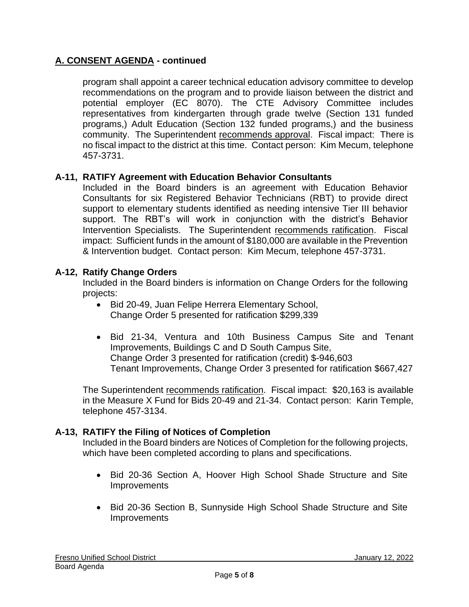### **A. CONSENT AGENDA - continued**

program shall appoint a career technical education advisory committee to develop recommendations on the program and to provide liaison between the district and potential employer (EC 8070). The CTE Advisory Committee includes representatives from kindergarten through grade twelve (Section 131 funded programs,) Adult Education (Section 132 funded programs,) and the business community. The Superintendent recommends approval. Fiscal impact: There is no fiscal impact to the district at this time. Contact person: Kim Mecum, telephone 457-3731.

#### **A-11, RATIFY Agreement with Education Behavior Consultants**

Included in the Board binders is an agreement with Education Behavior Consultants for six Registered Behavior Technicians (RBT) to provide direct support to elementary students identified as needing intensive Tier III behavior support. The RBT's will work in conjunction with the district's Behavior Intervention Specialists. The Superintendent recommends ratification. Fiscal impact: Sufficient funds in the amount of \$180,000 are available in the Prevention & Intervention budget. Contact person: Kim Mecum, telephone 457-3731.

#### **A-12, Ratify Change Orders**

Included in the Board binders is information on Change Orders for the following projects:

- Bid 20-49, Juan Felipe Herrera Elementary School, Change Order 5 presented for ratification \$299,339
- Bid 21-34, Ventura and 10th Business Campus Site and Tenant Improvements, Buildings C and D South Campus Site, Change Order 3 presented for ratification (credit) \$-946,603 Tenant Improvements, Change Order 3 presented for ratification \$667,427

The Superintendent recommends ratification. Fiscal impact: \$20,163 is available in the Measure X Fund for Bids 20-49 and 21-34. Contact person: Karin Temple, telephone 457-3134.

#### **A-13, RATIFY the Filing of Notices of Completion**

Included in the Board binders are Notices of Completion for the following projects, which have been completed according to plans and specifications.

- Bid 20-36 Section A, Hoover High School Shade Structure and Site **Improvements**
- Bid 20-36 Section B, Sunnyside High School Shade Structure and Site Improvements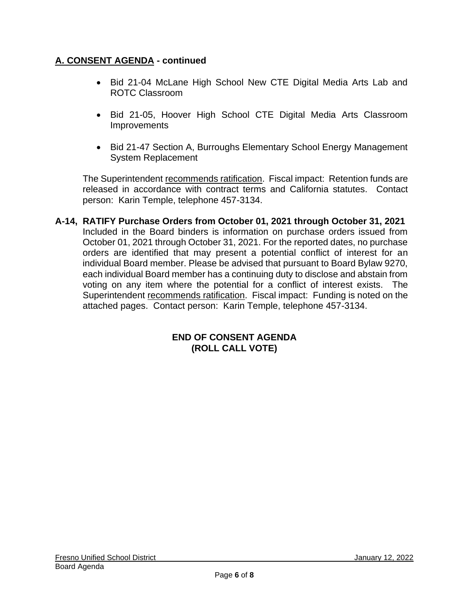### **A. CONSENT AGENDA - continued**

- Bid 21-04 McLane High School New CTE Digital Media Arts Lab and ROTC Classroom
- Bid 21-05, Hoover High School CTE Digital Media Arts Classroom **Improvements**
- Bid 21-47 Section A, Burroughs Elementary School Energy Management System Replacement

The Superintendent recommends ratification. Fiscal impact: Retention funds are released in accordance with contract terms and California statutes. Contact person: Karin Temple, telephone 457-3134.

**A-14, RATIFY Purchase Orders from October 01, 2021 through October 31, 2021** Included in the Board binders is information on purchase orders issued from October 01, 2021 through October 31, 2021. For the reported dates, no purchase orders are identified that may present a potential conflict of interest for an individual Board member. Please be advised that pursuant to Board Bylaw 9270, each individual Board member has a continuing duty to disclose and abstain from voting on any item where the potential for a conflict of interest exists. The Superintendent recommends ratification. Fiscal impact: Funding is noted on the attached pages. Contact person: Karin Temple, telephone 457-3134.

#### **END OF CONSENT AGENDA (ROLL CALL VOTE)**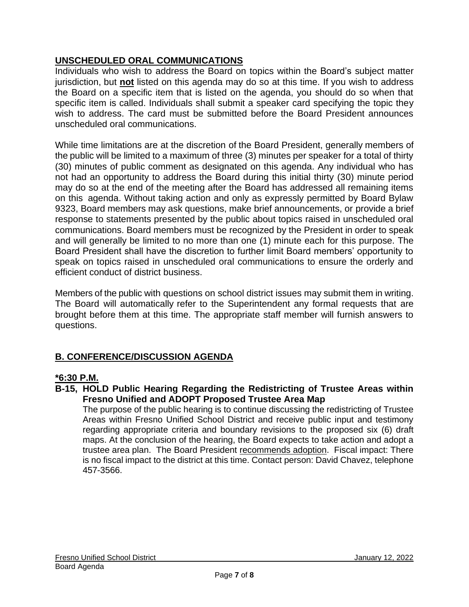### **UNSCHEDULED ORAL COMMUNICATIONS**

Individuals who wish to address the Board on topics within the Board's subject matter jurisdiction, but **not** listed on this agenda may do so at this time. If you wish to address the Board on a specific item that is listed on the agenda, you should do so when that specific item is called. Individuals shall submit a speaker card specifying the topic they wish to address. The card must be submitted before the Board President announces unscheduled oral communications.

While time limitations are at the discretion of the Board President, generally members of the public will be limited to a maximum of three (3) minutes per speaker for a total of thirty (30) minutes of public comment as designated on this agenda. Any individual who has not had an opportunity to address the Board during this initial thirty (30) minute period may do so at the end of the meeting after the Board has addressed all remaining items on this agenda. Without taking action and only as expressly permitted by Board Bylaw 9323, Board members may ask questions, make brief announcements, or provide a brief response to statements presented by the public about topics raised in unscheduled oral communications. Board members must be recognized by the President in order to speak and will generally be limited to no more than one (1) minute each for this purpose. The Board President shall have the discretion to further limit Board members' opportunity to speak on topics raised in unscheduled oral communications to ensure the orderly and efficient conduct of district business.

Members of the public with questions on school district issues may submit them in writing. The Board will automatically refer to the Superintendent any formal requests that are brought before them at this time. The appropriate staff member will furnish answers to questions.

## **B. CONFERENCE/DISCUSSION AGENDA**

### **\*6:30 P.M.**

**B-15, HOLD Public Hearing Regarding the Redistricting of Trustee Areas within Fresno Unified and ADOPT Proposed Trustee Area Map**

The purpose of the public hearing is to continue discussing the redistricting of Trustee Areas within Fresno Unified School District and receive public input and testimony regarding appropriate criteria and boundary revisions to the proposed six (6) draft maps. At the conclusion of the hearing, the Board expects to take action and adopt a trustee area plan. The Board President recommends adoption. Fiscal impact: There is no fiscal impact to the district at this time. Contact person: David Chavez, telephone 457-3566.